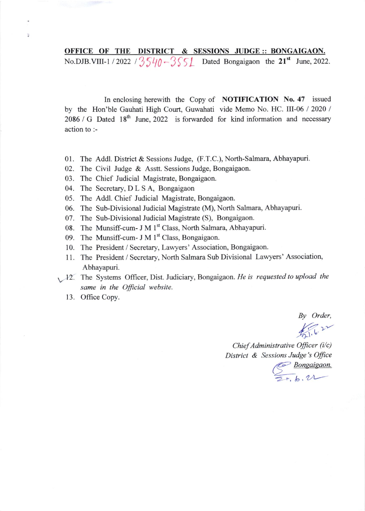No.DJB.VIII-1 / 2022 /  $3540 - 355$  Dated Bongaigaon the 21<sup>st</sup> June, 2022. OFFICE OF THE DISTRICT & SESSIONS JUDGE:: BONGAIGAON.

In enclosing herewith the Copy of **NOTIFICATION** No. 47 issued by the Hon'ble Gauhati High Court, Guwahati vide Memo No. HC. III-06 / 2020 /  $2086$  / G Dated 18<sup>th</sup> June, 2022 is forwarded for kind information and necessary action to :-

- 01. The Addl. District & Sessions Judge, (F.T.C.), North-Salmara Abhayapuri.
- 02. The Civil Judge & Asstt. Sessions Judge, Bongaigaon
- 03. The Chief Judicial Magistrate, Bongaigaon.
- 04. The Secretary, D L S A, Bongaigaor
- 05. The Addl. Chief Judicial Magistrate, Bongaigaon.
- 06. The Sub-Divisional Judicial Magistrate (M), North Salmara, Abhayapuri.
- 07. The Sub-Divisional Judicial Magistrate (S), Bongaigaon.
- 08. The Munsiff-cum- J M 1<sup>st</sup> Class, North Salmara, Abhayapuri
- 09. The Munsiff-cum- J M 1<sup>st</sup> Class, Bongaigaon
- 10. The President / Secretary, Lawyers' Association, Bongaigaon.
- 11. The President / Secretary, North Salmara Sub Divisional Lawyers' Association, Abhayapuri.
- 12. The Systems Officer, Dist. Judiciary, Bongaigaon. He is requested to upload the same in the Official website.
	- 13. Office Copy.

Þ

By Order,

 $4,1.6.22$ 

Chief Administrative Oficer (i/c) District & Sessions Judge's Office Bongaigaon.

 $2 + 6.21$